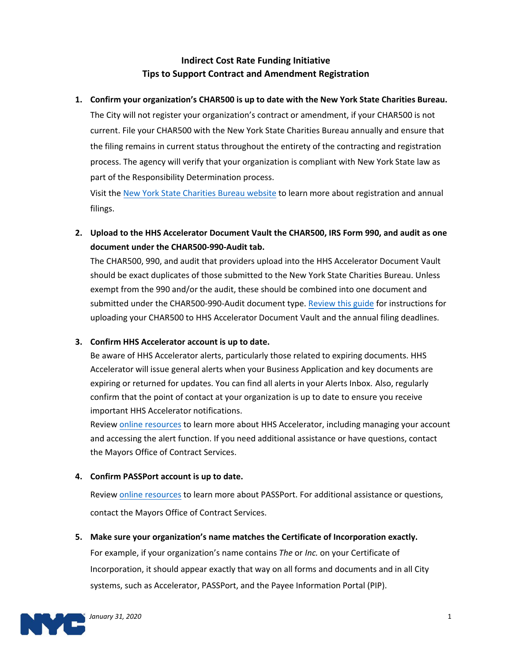# **Indirect Cost Rate Funding Initiative Tips to Support Contract and Amendment Registration**

## **1. Confirm your organization's CHAR500 is up to date with the New York State Charities Bureau.**

The City will not register your organization's contract or amendment, if your CHAR500 is not current. File your CHAR500 with the New York State Charities Bureau annually and ensure that the filing remains in current status throughout the entirety of the contracting and registration process. The agency will verify that your organization is compliant with New York State law as part of the Responsibility Determination process.

Visit the [New York State Charities Bureau website](https://www.charitiesnys.com/charities_new.html) to learn more about registration and annual filings.

**2. Upload to the HHS Accelerator Document Vault the CHAR500, IRS Form 990, and audit as one document under the CHAR500-990-Audit tab.**

The CHAR500, 990, and audit that providers upload into the HHS Accelerator Document Vault should be exact duplicates of those submitted to the New York State Charities Bureau. Unless exempt from the 990 and/or the audit, these should be combined into one document and submitted under the CHAR500-990-Audit document type. [Review this guide](https://www1.nyc.gov/assets/mocs/hhs-downloads/pdf/R5/ProviderGuidetoUpdatingFilingsInHHSAccelerator.pdf) for instructions for uploading your CHAR500 to HHS Accelerator Document Vault and the annual filing deadlines.

#### **3. Confirm HHS Accelerator account is up to date.**

Be aware of HHS Accelerator alerts, particularly those related to expiring documents. HHS Accelerator will issue general alerts when your Business Application and key documents are expiring or returned for updates. You can find all alerts in your Alerts Inbox. Also, regularly confirm that the point of contact at your organization is up to date to ensure you receive important HHS Accelerator notifications.

Review [online resources](https://www1.nyc.gov/site/mocs/systems/hhs-accelerator-user-materials.page) to learn more about HHS Accelerator, including managing your account and accessing the alert function. If you need additional assistance or have questions, contact t[he Mayors Office of](mailto:help@mocs.nyc.gov) Contract Services.

## **4. Confirm PASSPort account is up to date.**

Review [online resources](https://www1.nyc.gov/site/mocs/systems/passport-user-materials.page) to learn more about PASSPort. For additional assistance or questions, contact the Mayors Office of Contract Services[.](mailto:help@mocs.nyc.gov)

#### **5. Make sure your organization's name matches the Certificate of Incorporation exactly.**

For example, if your organization's name contains *The* or *Inc.* on your Certificate of Incorporation, it should appear exactly that way on all forms and documents and in all City systems, such as Accelerator, PASSPort, and the Payee Information Portal (PIP).